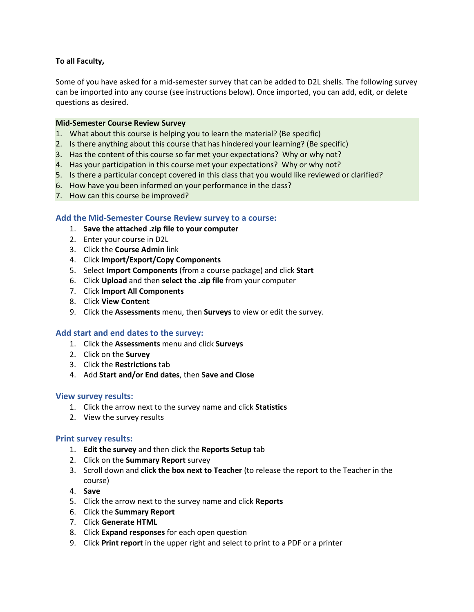# **To all Faculty,**

Some of you have asked for a mid-semester survey that can be added to D2L shells. The following survey can be imported into any course (see instructions below). Once imported, you can add, edit, or delete questions as desired.

## **Mid-Semester Course Review Survey**

- 1. What about this course is helping you to learn the material? (Be specific)
- 2. Is there anything about this course that has hindered your learning? (Be specific)
- 3. Has the content of this course so far met your expectations? Why or why not?
- 4. Has your participation in this course met your expectations? Why or why not?
- 5. Is there a particular concept covered in this class that you would like reviewed or clarified?
- 6. How have you been informed on your performance in the class?
- 7. How can this course be improved?

## **Add the Mid-Semester Course Review survey to a course:**

- 1. **Save the attached .zip file to your computer**
- 2. Enter your course in D2L
- 3. Click the **Course Admin** link
- 4. Click **Import/Export/Copy Components**
- 5. Select **Import Components** (from a course package) and click **Start**
- 6. Click **Upload** and then **select the .zip file** from your computer
- 7. Click **Import All Components**
- 8. Click **View Content**
- 9. Click the **Assessments** menu, then **Surveys** to view or edit the survey.

## **Add start and end dates to the survey:**

- 1. Click the **Assessments** menu and click **Surveys**
- 2. Click on the **Survey**
- 3. Click the **Restrictions** tab
- 4. Add **Start and/or End dates**, then **Save and Close**

## **View survey results:**

- 1. Click the arrow next to the survey name and click **Statistics**
- 2. View the survey results

## **Print survey results:**

- 1. **Edit the survey** and then click the **Reports Setup** tab
- 2. Click on the **Summary Report** survey
- 3. Scroll down and **click the box next to Teacher** (to release the report to the Teacher in the course)
- 4. **Save**
- 5. Click the arrow next to the survey name and click **Reports**
- 6. Click the **Summary Report**
- 7. Click **Generate HTML**
- 8. Click **Expand responses** for each open question
- 9. Click **Print report** in the upper right and select to print to a PDF or a printer